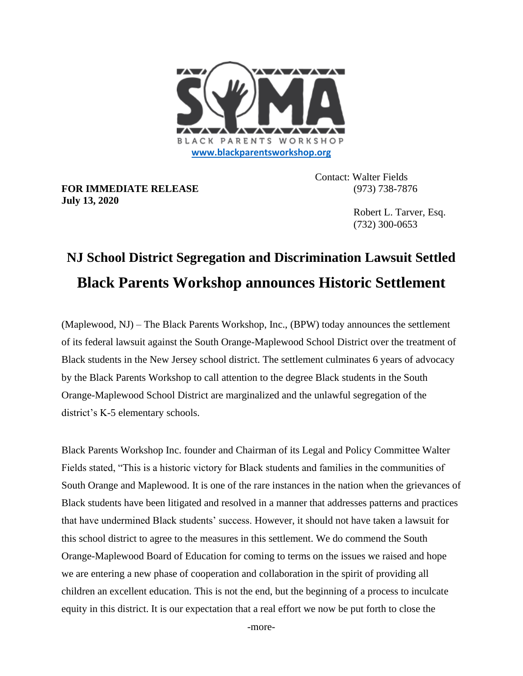

**FOR IMMEDIATE RELEASE** (973) 738-7876 **July 13, 2020**

Contact: Walter Fields

 Robert L. Tarver, Esq. (732) 300-0653

## **NJ School District Segregation and Discrimination Lawsuit Settled Black Parents Workshop announces Historic Settlement**

(Maplewood, NJ) – The Black Parents Workshop, Inc., (BPW) today announces the settlement of its federal lawsuit against the South Orange-Maplewood School District over the treatment of Black students in the New Jersey school district. The settlement culminates 6 years of advocacy by the Black Parents Workshop to call attention to the degree Black students in the South Orange-Maplewood School District are marginalized and the unlawful segregation of the district's K-5 elementary schools.

Black Parents Workshop Inc. founder and Chairman of its Legal and Policy Committee Walter Fields stated, "This is a historic victory for Black students and families in the communities of South Orange and Maplewood. It is one of the rare instances in the nation when the grievances of Black students have been litigated and resolved in a manner that addresses patterns and practices that have undermined Black students' success. However, it should not have taken a lawsuit for this school district to agree to the measures in this settlement. We do commend the South Orange-Maplewood Board of Education for coming to terms on the issues we raised and hope we are entering a new phase of cooperation and collaboration in the spirit of providing all children an excellent education. This is not the end, but the beginning of a process to inculcate equity in this district. It is our expectation that a real effort we now be put forth to close the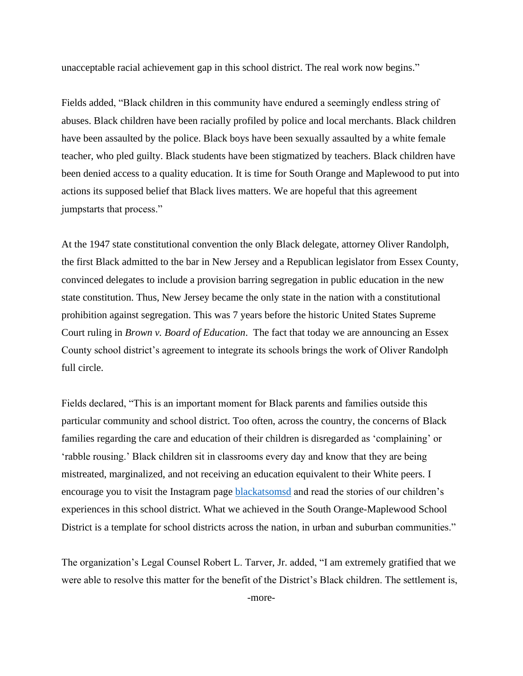unacceptable racial achievement gap in this school district. The real work now begins."

Fields added, "Black children in this community have endured a seemingly endless string of abuses. Black children have been racially profiled by police and local merchants. Black children have been assaulted by the police. Black boys have been sexually assaulted by a white female teacher, who pled guilty. Black students have been stigmatized by teachers. Black children have been denied access to a quality education. It is time for South Orange and Maplewood to put into actions its supposed belief that Black lives matters. We are hopeful that this agreement jumpstarts that process."

At the 1947 state constitutional convention the only Black delegate, attorney Oliver Randolph, the first Black admitted to the bar in New Jersey and a Republican legislator from Essex County, convinced delegates to include a provision barring segregation in public education in the new state constitution. Thus, New Jersey became the only state in the nation with a constitutional prohibition against segregation. This was 7 years before the historic United States Supreme Court ruling in *Brown v. Board of Education*. The fact that today we are announcing an Essex County school district's agreement to integrate its schools brings the work of Oliver Randolph full circle.

Fields declared, "This is an important moment for Black parents and families outside this particular community and school district. Too often, across the country, the concerns of Black families regarding the care and education of their children is disregarded as 'complaining' or 'rabble rousing.' Black children sit in classrooms every day and know that they are being mistreated, marginalized, and not receiving an education equivalent to their White peers. I encourage you to visit the Instagram page [blackatsomsd](https://www.instagram.com/blackatsomsd/?hl=en) and read the stories of our children's experiences in this school district. What we achieved in the South Orange-Maplewood School District is a template for school districts across the nation, in urban and suburban communities."

The organization's Legal Counsel Robert L. Tarver, Jr. added, "I am extremely gratified that we were able to resolve this matter for the benefit of the District's Black children. The settlement is,

-more-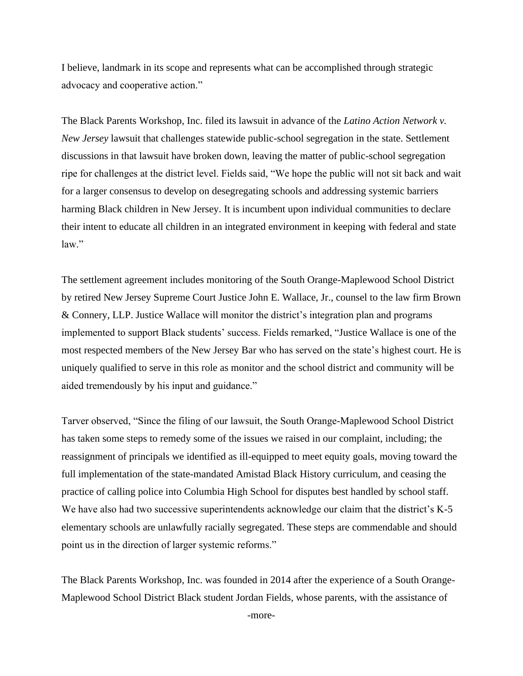I believe, landmark in its scope and represents what can be accomplished through strategic advocacy and cooperative action."

The Black Parents Workshop, Inc. filed its lawsuit in advance of the *Latino Action Network v. New Jersey* lawsuit that challenges statewide public-school segregation in the state. Settlement discussions in that lawsuit have broken down, leaving the matter of public-school segregation ripe for challenges at the district level. Fields said, "We hope the public will not sit back and wait for a larger consensus to develop on desegregating schools and addressing systemic barriers harming Black children in New Jersey. It is incumbent upon individual communities to declare their intent to educate all children in an integrated environment in keeping with federal and state law."

The settlement agreement includes monitoring of the South Orange-Maplewood School District by retired New Jersey Supreme Court Justice John E. Wallace, Jr., counsel to the law firm Brown & Connery, LLP. Justice Wallace will monitor the district's integration plan and programs implemented to support Black students' success. Fields remarked, "Justice Wallace is one of the most respected members of the New Jersey Bar who has served on the state's highest court. He is uniquely qualified to serve in this role as monitor and the school district and community will be aided tremendously by his input and guidance."

Tarver observed, "Since the filing of our lawsuit, the South Orange-Maplewood School District has taken some steps to remedy some of the issues we raised in our complaint, including; the reassignment of principals we identified as ill-equipped to meet equity goals, moving toward the full implementation of the state-mandated Amistad Black History curriculum, and ceasing the practice of calling police into Columbia High School for disputes best handled by school staff. We have also had two successive superintendents acknowledge our claim that the district's K-5 elementary schools are unlawfully racially segregated. These steps are commendable and should point us in the direction of larger systemic reforms."

The Black Parents Workshop, Inc. was founded in 2014 after the experience of a South Orange-Maplewood School District Black student Jordan Fields, whose parents, with the assistance of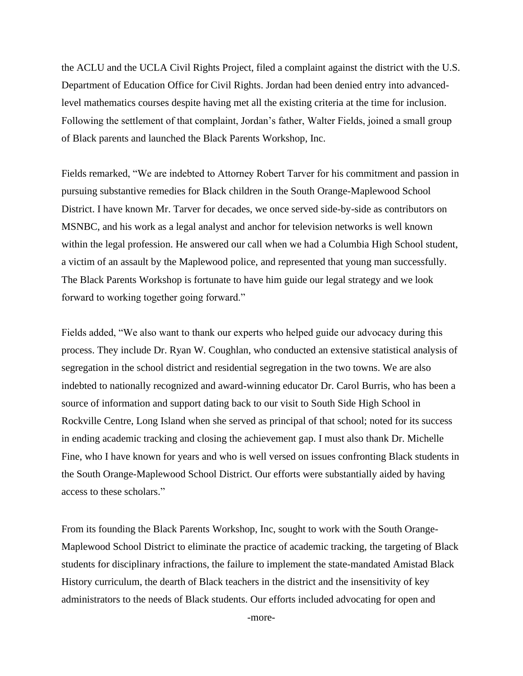the ACLU and the UCLA Civil Rights Project, filed a complaint against the district with the U.S. Department of Education Office for Civil Rights. Jordan had been denied entry into advancedlevel mathematics courses despite having met all the existing criteria at the time for inclusion. Following the settlement of that complaint, Jordan's father, Walter Fields, joined a small group of Black parents and launched the Black Parents Workshop, Inc.

Fields remarked, "We are indebted to Attorney Robert Tarver for his commitment and passion in pursuing substantive remedies for Black children in the South Orange-Maplewood School District. I have known Mr. Tarver for decades, we once served side-by-side as contributors on MSNBC, and his work as a legal analyst and anchor for television networks is well known within the legal profession. He answered our call when we had a Columbia High School student, a victim of an assault by the Maplewood police, and represented that young man successfully. The Black Parents Workshop is fortunate to have him guide our legal strategy and we look forward to working together going forward."

Fields added, "We also want to thank our experts who helped guide our advocacy during this process. They include Dr. Ryan W. Coughlan, who conducted an extensive statistical analysis of segregation in the school district and residential segregation in the two towns. We are also indebted to nationally recognized and award-winning educator Dr. Carol Burris, who has been a source of information and support dating back to our visit to South Side High School in Rockville Centre, Long Island when she served as principal of that school; noted for its success in ending academic tracking and closing the achievement gap. I must also thank Dr. Michelle Fine, who I have known for years and who is well versed on issues confronting Black students in the South Orange-Maplewood School District. Our efforts were substantially aided by having access to these scholars."

From its founding the Black Parents Workshop, Inc, sought to work with the South Orange-Maplewood School District to eliminate the practice of academic tracking, the targeting of Black students for disciplinary infractions, the failure to implement the state-mandated Amistad Black History curriculum, the dearth of Black teachers in the district and the insensitivity of key administrators to the needs of Black students. Our efforts included advocating for open and

-more-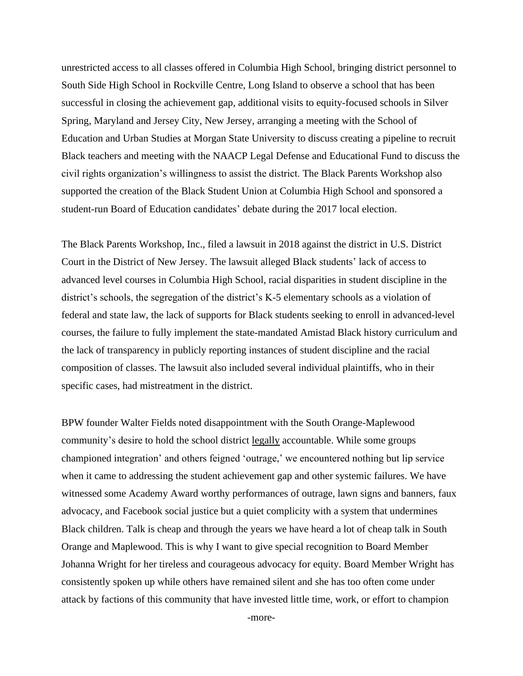unrestricted access to all classes offered in Columbia High School, bringing district personnel to South Side High School in Rockville Centre, Long Island to observe a school that has been successful in closing the achievement gap, additional visits to equity-focused schools in Silver Spring, Maryland and Jersey City, New Jersey, arranging a meeting with the School of Education and Urban Studies at Morgan State University to discuss creating a pipeline to recruit Black teachers and meeting with the NAACP Legal Defense and Educational Fund to discuss the civil rights organization's willingness to assist the district. The Black Parents Workshop also supported the creation of the Black Student Union at Columbia High School and sponsored a student-run Board of Education candidates' debate during the 2017 local election.

The Black Parents Workshop, Inc., filed a lawsuit in 2018 against the district in U.S. District Court in the District of New Jersey. The lawsuit alleged Black students' lack of access to advanced level courses in Columbia High School, racial disparities in student discipline in the district's schools, the segregation of the district's K-5 elementary schools as a violation of federal and state law, the lack of supports for Black students seeking to enroll in advanced-level courses, the failure to fully implement the state-mandated Amistad Black history curriculum and the lack of transparency in publicly reporting instances of student discipline and the racial composition of classes. The lawsuit also included several individual plaintiffs, who in their specific cases, had mistreatment in the district.

BPW founder Walter Fields noted disappointment with the South Orange-Maplewood community's desire to hold the school district legally accountable. While some groups championed integration' and others feigned 'outrage,' we encountered nothing but lip service when it came to addressing the student achievement gap and other systemic failures. We have witnessed some Academy Award worthy performances of outrage, lawn signs and banners, faux advocacy, and Facebook social justice but a quiet complicity with a system that undermines Black children. Talk is cheap and through the years we have heard a lot of cheap talk in South Orange and Maplewood. This is why I want to give special recognition to Board Member Johanna Wright for her tireless and courageous advocacy for equity. Board Member Wright has consistently spoken up while others have remained silent and she has too often come under attack by factions of this community that have invested little time, work, or effort to champion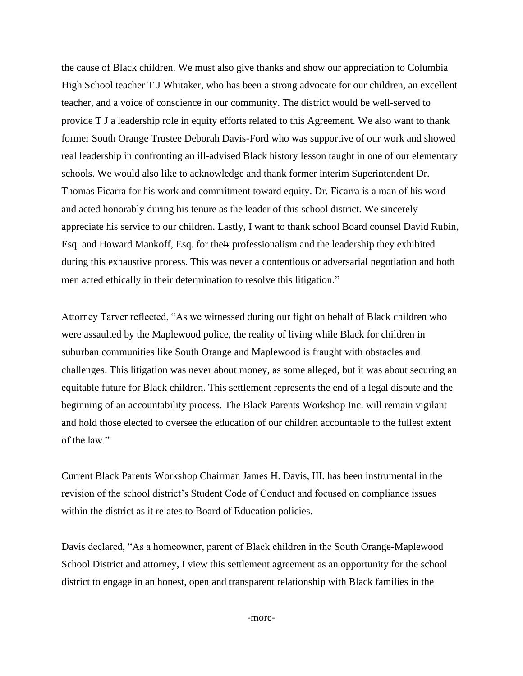the cause of Black children. We must also give thanks and show our appreciation to Columbia High School teacher T J Whitaker, who has been a strong advocate for our children, an excellent teacher, and a voice of conscience in our community. The district would be well-served to provide T J a leadership role in equity efforts related to this Agreement. We also want to thank former South Orange Trustee Deborah Davis-Ford who was supportive of our work and showed real leadership in confronting an ill-advised Black history lesson taught in one of our elementary schools. We would also like to acknowledge and thank former interim Superintendent Dr. Thomas Ficarra for his work and commitment toward equity. Dr. Ficarra is a man of his word and acted honorably during his tenure as the leader of this school district. We sincerely appreciate his service to our children. Lastly, I want to thank school Board counsel David Rubin, Esq. and Howard Mankoff, Esq. for their professionalism and the leadership they exhibited during this exhaustive process. This was never a contentious or adversarial negotiation and both men acted ethically in their determination to resolve this litigation."

Attorney Tarver reflected, "As we witnessed during our fight on behalf of Black children who were assaulted by the Maplewood police, the reality of living while Black for children in suburban communities like South Orange and Maplewood is fraught with obstacles and challenges. This litigation was never about money, as some alleged, but it was about securing an equitable future for Black children. This settlement represents the end of a legal dispute and the beginning of an accountability process. The Black Parents Workshop Inc. will remain vigilant and hold those elected to oversee the education of our children accountable to the fullest extent of the law."

Current Black Parents Workshop Chairman James H. Davis, III. has been instrumental in the revision of the school district's Student Code of Conduct and focused on compliance issues within the district as it relates to Board of Education policies.

Davis declared, "As a homeowner, parent of Black children in the South Orange-Maplewood School District and attorney, I view this settlement agreement as an opportunity for the school district to engage in an honest, open and transparent relationship with Black families in the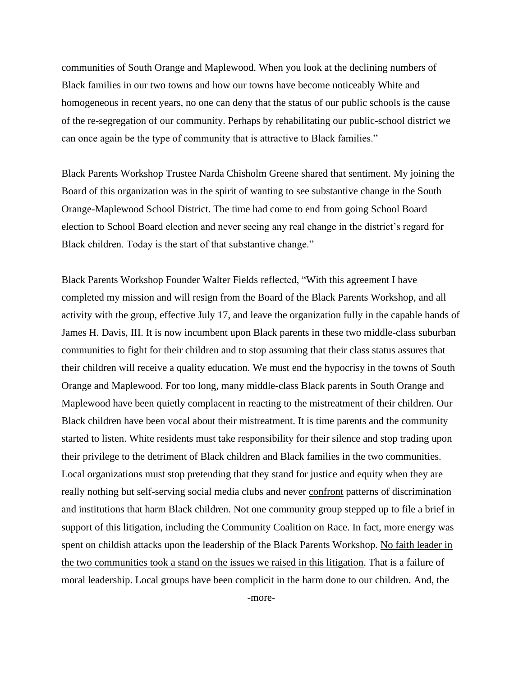communities of South Orange and Maplewood. When you look at the declining numbers of Black families in our two towns and how our towns have become noticeably White and homogeneous in recent years, no one can deny that the status of our public schools is the cause of the re-segregation of our community. Perhaps by rehabilitating our public-school district we can once again be the type of community that is attractive to Black families."

Black Parents Workshop Trustee Narda Chisholm Greene shared that sentiment. My joining the Board of this organization was in the spirit of wanting to see substantive change in the South Orange-Maplewood School District. The time had come to end from going School Board election to School Board election and never seeing any real change in the district's regard for Black children. Today is the start of that substantive change."

Black Parents Workshop Founder Walter Fields reflected, "With this agreement I have completed my mission and will resign from the Board of the Black Parents Workshop, and all activity with the group, effective July 17, and leave the organization fully in the capable hands of James H. Davis, III. It is now incumbent upon Black parents in these two middle-class suburban communities to fight for their children and to stop assuming that their class status assures that their children will receive a quality education. We must end the hypocrisy in the towns of South Orange and Maplewood. For too long, many middle-class Black parents in South Orange and Maplewood have been quietly complacent in reacting to the mistreatment of their children. Our Black children have been vocal about their mistreatment. It is time parents and the community started to listen. White residents must take responsibility for their silence and stop trading upon their privilege to the detriment of Black children and Black families in the two communities. Local organizations must stop pretending that they stand for justice and equity when they are really nothing but self-serving social media clubs and never confront patterns of discrimination and institutions that harm Black children. Not one community group stepped up to file a brief in support of this litigation, including the Community Coalition on Race. In fact, more energy was spent on childish attacks upon the leadership of the Black Parents Workshop. No faith leader in the two communities took a stand on the issues we raised in this litigation. That is a failure of moral leadership. Local groups have been complicit in the harm done to our children. And, the